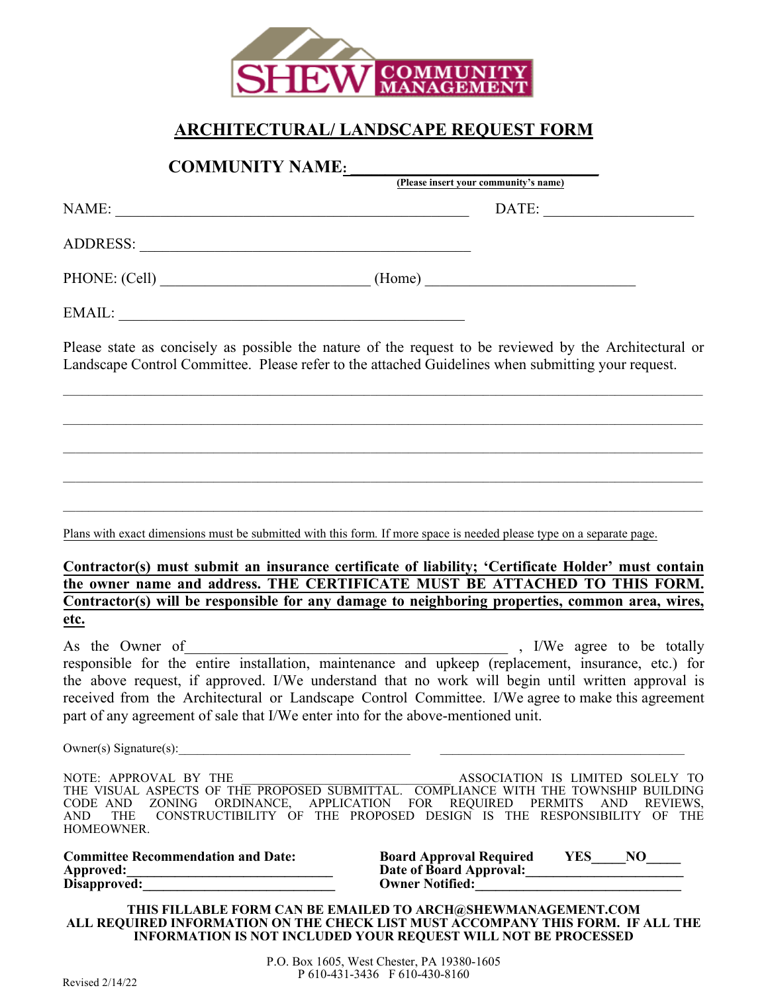

## **ARCHITECTURAL/ LANDSCAPE REQUEST FORM**

**COMMUNITY NAME: \_\_\_\_\_\_\_\_\_\_\_\_\_\_\_\_\_\_\_\_\_\_\_\_\_\_\_\_\_\_\_\_\_\_\_\_**

|               | (Please insert your community's name)                        |  |
|---------------|--------------------------------------------------------------|--|
| NAME:         | DATE:                                                        |  |
| ADDRESS:      |                                                              |  |
| PHONE: (Cell) | (Home)<br><u> 1980 - John Stone, Amerikaansk politiker (</u> |  |
| EMAIL:        |                                                              |  |

Please state as concisely as possible the nature of the request to be reviewed by the Architectural or Landscape Control Committee. Please refer to the attached Guidelines when submitting your request.

 $\mathcal{L}_\mathcal{L} = \{ \mathcal{L}_\mathcal{L} = \{ \mathcal{L}_\mathcal{L} = \{ \mathcal{L}_\mathcal{L} = \{ \mathcal{L}_\mathcal{L} = \{ \mathcal{L}_\mathcal{L} = \{ \mathcal{L}_\mathcal{L} = \{ \mathcal{L}_\mathcal{L} = \{ \mathcal{L}_\mathcal{L} = \{ \mathcal{L}_\mathcal{L} = \{ \mathcal{L}_\mathcal{L} = \{ \mathcal{L}_\mathcal{L} = \{ \mathcal{L}_\mathcal{L} = \{ \mathcal{L}_\mathcal{L} = \{ \mathcal{L}_\mathcal{$ 

\_\_\_\_\_\_\_\_\_\_\_\_\_\_\_\_\_\_\_\_\_\_\_\_\_\_\_\_\_\_\_\_\_\_\_\_\_\_\_\_\_\_\_\_\_\_\_\_\_\_\_\_\_\_\_\_\_\_\_\_\_\_\_\_\_\_\_\_\_\_\_\_\_\_\_\_\_\_\_\_\_\_\_\_\_\_\_\_\_\_\_\_\_\_\_\_\_\_\_\_\_\_

\_\_\_\_\_\_\_\_\_\_\_\_\_\_\_\_\_\_\_\_\_\_\_\_\_\_\_\_\_\_\_\_\_\_\_\_\_\_\_\_\_\_\_\_\_\_\_\_\_\_\_\_\_\_\_\_\_\_\_\_\_\_\_\_\_\_\_\_\_\_\_\_\_\_\_\_\_\_\_\_\_\_\_\_\_\_\_\_\_\_\_\_\_\_\_\_\_\_\_\_\_\_

 $\mathcal{L}_\mathcal{L} = \{ \mathcal{L}_\mathcal{L} = \{ \mathcal{L}_\mathcal{L} = \{ \mathcal{L}_\mathcal{L} = \{ \mathcal{L}_\mathcal{L} = \{ \mathcal{L}_\mathcal{L} = \{ \mathcal{L}_\mathcal{L} = \{ \mathcal{L}_\mathcal{L} = \{ \mathcal{L}_\mathcal{L} = \{ \mathcal{L}_\mathcal{L} = \{ \mathcal{L}_\mathcal{L} = \{ \mathcal{L}_\mathcal{L} = \{ \mathcal{L}_\mathcal{L} = \{ \mathcal{L}_\mathcal{L} = \{ \mathcal{L}_\mathcal{$ 

\_\_\_\_\_\_\_\_\_\_\_\_\_\_\_\_\_\_\_\_\_\_\_\_\_\_\_\_\_\_\_\_\_\_\_\_\_\_\_\_\_\_\_\_\_\_\_\_\_\_\_\_\_\_\_\_\_\_\_\_\_\_\_\_\_\_\_\_\_\_\_\_\_\_\_\_\_\_\_\_\_\_\_\_\_\_\_\_\_\_\_\_\_\_\_\_\_\_\_\_\_\_

Plans with exact dimensions must be submitted with this form*.* If more space is needed please type on a separate page.

**Contractor(s) must submit an insurance certificate of liability; 'Certificate Holder' must contain the owner name and address. THE CERTIFICATE MUST BE ATTACHED TO THIS FORM. Contractor(s) will be responsible for any damage to neighboring properties, common area, wires, etc.**

As the Owner of the community of the Owner of the Second Second Second Second Second Second Second Second Second Second Second Second Second Second Second Second Second Second Second Second Second Second Second Second Seco responsible for the entire installation, maintenance and upkeep (replacement, insurance, etc.) for the above request, if approved. I/We understand that no work will begin until written approval is received from the Architectural or Landscape Control Committee. I/We agree to make this agreement part of any agreement of sale that I/We enter into for the above-mentioned unit.

Owner(s) Signature(s):

NOTE: APPROVAL BY THE  $\overline{a}$  association is limited solely to THE VISUAL ASPECTS OF THE PROPOSED SUBMITTAL. COMPLIANCE WITH THE TOWNSHIP BUILDING CODE AND ZONING ORDINANCE, APPLICATION FOR REQUIRED PERMITS AND REVIEWS,<br>AND THE CONSTRUCTIBILITY OF THE PROPOSED DESIGN IS THE RESPONSIBILITY OF THE CONSTRUCTIBILITY OF THE PROPOSED DESIGN IS THE RESPONSIBILITY OF THE HOMEOWNER.

|              | <b>Committee Recommendation and Date:</b> |
|--------------|-------------------------------------------|
| Approved:    |                                           |
| Disapproved: |                                           |

**Committee Board Approval Required YES NO** Date of Board Approval: **Owner Notified:** 

**THIS FILLABLE FORM CAN BE EMAILED TO ARCH@SHEWMANAGEMENT.COM ALL REQUIRED INFORMATION ON THE CHECK LIST MUST ACCOMPANY THIS FORM. IF ALL THE INFORMATION IS NOT INCLUDED YOUR REQUEST WILL NOT BE PROCESSED**